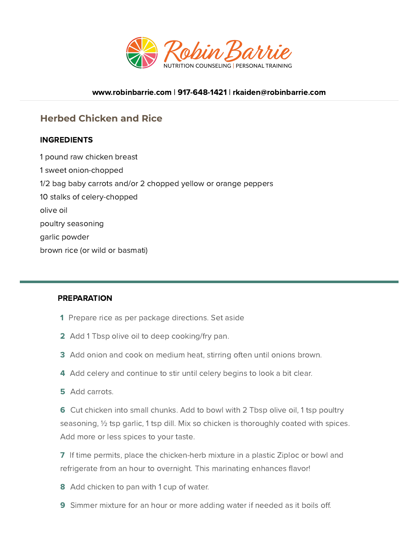

#### [www.robinbarrie.com](https://www.robinbarrie.com/) | [917-648-1421](tel:9176481421) | [rkaiden@robinbarrie.com](mail:rkaiden@robinbarrie.coms)

# **Herbed Chicken and Rice**

## **INGREDIENTS**

1 pound raw chicken breast 1 sweet onion-chopped 1/2 bag baby carrots and/or 2 chopped yellow or orange peppers 10 stalks of celery-chopped olive oil poultry seasoning garlic powder brown rice (or wild or basmati)

#### PREPARATION

- 1 Prepare rice as per package directions. Set aside
- 2 Add 1 Tbsp olive oil to deep cooking/fry pan.
- 3 Add onion and cook on medium heat, stirring often until onions brown.
- 4 Add celery and continue to stir until celery begins to look a bit clear.
- 5 Add carrots.

6 Cut chicken into small chunks. Add to bowl with 2 Tbsp olive oil, 1 tsp poultry seasoning, ½ tsp garlic, 1 tsp dill. Mix so chicken is thoroughly coated with spices. Add more or less spices to your taste.

7 If time permits, place the chicken-herb mixture in a plastic Ziploc or bowl and refrigerate from an hour to overnight. This marinating enhances flavor!

8 Add chicken to pan with 1 cup of water.

**9** Simmer mixture for an hour or more adding water if needed as it boils off.